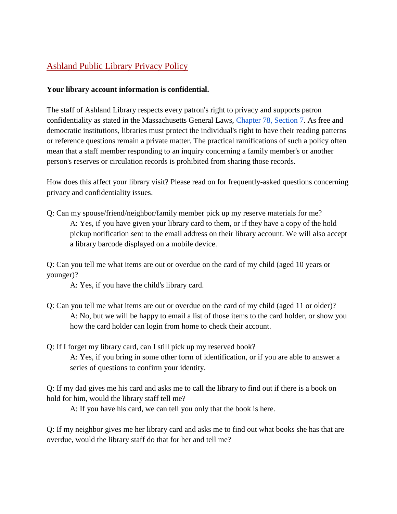## Ashland Public Library Privacy Policy

## **Your library account information is confidential.**

The staff of Ashland Library respects every patron's right to privacy and supports patron confidentiality as stated in the Massachusetts General Laws, [Chapter 78, Section 7.](https://malegislature.gov/Laws/GeneralLaws/PartI/TitleXII/Chapter78/Section7) As free and democratic institutions, libraries must protect the individual's right to have their reading patterns or reference questions remain a private matter. The practical ramifications of such a policy often mean that a staff member responding to an inquiry concerning a family member's or another person's reserves or circulation records is prohibited from sharing those records.

How does this affect your library visit? Please read on for frequently-asked questions concerning privacy and confidentiality issues.

Q: Can my spouse/friend/neighbor/family member pick up my reserve materials for me? A: Yes, if you have given your library card to them, or if they have a copy of the hold pickup notification sent to the email address on their library account. We will also accept a library barcode displayed on a mobile device.

Q: Can you tell me what items are out or overdue on the card of my child (aged 10 years or younger)?

A: Yes, if you have the child's library card.

- Q: Can you tell me what items are out or overdue on the card of my child (aged 11 or older)? A: No, but we will be happy to email a list of those items to the card holder, or show you how the card holder can login from home to check their account.
- Q: If I forget my library card, can I still pick up my reserved book? A: Yes, if you bring in some other form of identification, or if you are able to answer a series of questions to confirm your identity.

Q: If my dad gives me his card and asks me to call the library to find out if there is a book on hold for him, would the library staff tell me?

A: If you have his card, we can tell you only that the book is here.

Q: If my neighbor gives me her library card and asks me to find out what books she has that are overdue, would the library staff do that for her and tell me?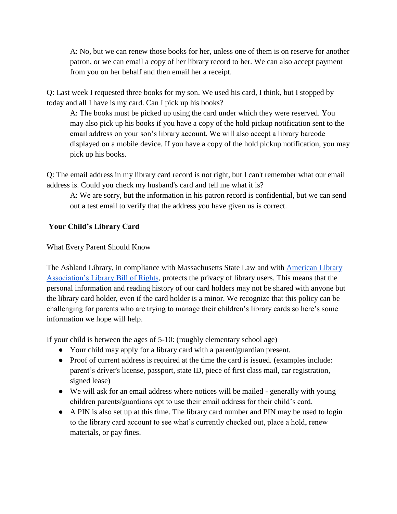A: No, but we can renew those books for her, unless one of them is on reserve for another patron, or we can email a copy of her library record to her. We can also accept payment from you on her behalf and then email her a receipt.

Q: Last week I requested three books for my son. We used his card, I think, but I stopped by today and all I have is my card. Can I pick up his books?

A: The books must be picked up using the card under which they were reserved. You may also pick up his books if you have a copy of the hold pickup notification sent to the email address on your son's library account. We will also accept a library barcode displayed on a mobile device. If you have a copy of the hold pickup notification, you may pick up his books.

Q: The email address in my library card record is not right, but I can't remember what our email address is. Could you check my husband's card and tell me what it is?

A: We are sorry, but the information in his patron record is confidential, but we can send out a test email to verify that the address you have given us is correct.

## **Your Child's Library Card**

What Every Parent Should Know

The Ashland Library, in compliance with Massachusetts State Law and with American Library [Association's Library Bill of Rights,](https://www.ala.org/advocacy/sites/ala.org.advocacy/files/content/LBORwithInterpretations.pdf) protects the privacy of library users. This means that the personal information and reading history of our card holders may not be shared with anyone but the library card holder, even if the card holder is a minor. We recognize that this policy can be challenging for parents who are trying to manage their children's library cards so here's some information we hope will help.

If your child is between the ages of 5-10: (roughly elementary school age)

- Your child may apply for a library card with a parent/guardian present.
- Proof of current address is required at the time the card is issued. (examples include: parent's driver's license, passport, state ID, piece of first class mail, car registration, signed lease)
- We will ask for an email address where notices will be mailed generally with young children parents/guardians opt to use their email address for their child's card.
- A PIN is also set up at this time. The library card number and PIN may be used to login to the library card account to see what's currently checked out, place a hold, renew materials, or pay fines.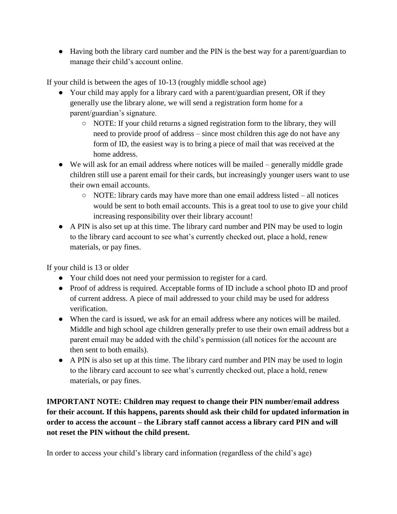● Having both the library card number and the PIN is the best way for a parent/guardian to manage their child's account online.

If your child is between the ages of 10-13 (roughly middle school age)

- Your child may apply for a library card with a parent/guardian present, OR if they generally use the library alone, we will send a registration form home for a parent/guardian's signature.
	- NOTE: If your child returns a signed registration form to the library, they will need to provide proof of address – since most children this age do not have any form of ID, the easiest way is to bring a piece of mail that was received at the home address.
- We will ask for an email address where notices will be mailed generally middle grade children still use a parent email for their cards, but increasingly younger users want to use their own email accounts.
	- NOTE: library cards may have more than one email address listed all notices would be sent to both email accounts. This is a great tool to use to give your child increasing responsibility over their library account!
- A PIN is also set up at this time. The library card number and PIN may be used to login to the library card account to see what's currently checked out, place a hold, renew materials, or pay fines.

If your child is 13 or older

- Your child does not need your permission to register for a card.
- Proof of address is required. Acceptable forms of ID include a school photo ID and proof of current address. A piece of mail addressed to your child may be used for address verification.
- When the card is issued, we ask for an email address where any notices will be mailed. Middle and high school age children generally prefer to use their own email address but a parent email may be added with the child's permission (all notices for the account are then sent to both emails).
- A PIN is also set up at this time. The library card number and PIN may be used to login to the library card account to see what's currently checked out, place a hold, renew materials, or pay fines.

**IMPORTANT NOTE: Children may request to change their PIN number/email address for their account. If this happens, parents should ask their child for updated information in order to access the account – the Library staff cannot access a library card PIN and will not reset the PIN without the child present.** 

In order to access your child's library card information (regardless of the child's age)